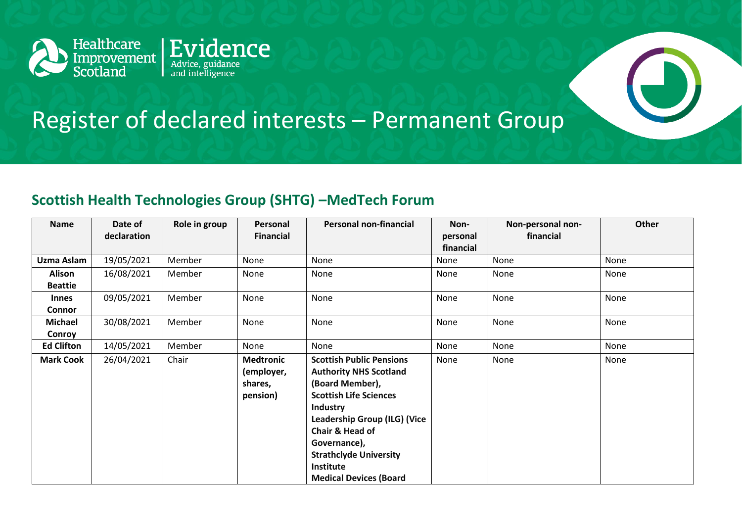

## Register of declared interests – Permanent Group

## **Scottish Health Technologies Group (SHTG) –MedTech Forum**

| <b>Name</b>       | Date of     | Role in group | Personal                                              | <b>Personal non-financial</b>                                                                                                                                                                                                                                                                    | Non-      | Non-personal non- | Other |
|-------------------|-------------|---------------|-------------------------------------------------------|--------------------------------------------------------------------------------------------------------------------------------------------------------------------------------------------------------------------------------------------------------------------------------------------------|-----------|-------------------|-------|
|                   | declaration |               | <b>Financial</b>                                      |                                                                                                                                                                                                                                                                                                  | personal  | financial         |       |
|                   |             |               |                                                       |                                                                                                                                                                                                                                                                                                  | financial |                   |       |
| Uzma Aslam        | 19/05/2021  | Member        | None                                                  | None                                                                                                                                                                                                                                                                                             | None      | None              | None  |
| Alison            | 16/08/2021  | Member        | None                                                  | None                                                                                                                                                                                                                                                                                             | None      | None              | None  |
| <b>Beattie</b>    |             |               |                                                       |                                                                                                                                                                                                                                                                                                  |           |                   |       |
| <b>Innes</b>      | 09/05/2021  | Member        | None                                                  | None                                                                                                                                                                                                                                                                                             | None      | None              | None  |
| Connor            |             |               |                                                       |                                                                                                                                                                                                                                                                                                  |           |                   |       |
| <b>Michael</b>    | 30/08/2021  | Member        | None                                                  | None                                                                                                                                                                                                                                                                                             | None      | None              | None  |
| Conroy            |             |               |                                                       |                                                                                                                                                                                                                                                                                                  |           |                   |       |
| <b>Ed Clifton</b> | 14/05/2021  | Member        | None                                                  | None                                                                                                                                                                                                                                                                                             | None      | None              | None  |
| <b>Mark Cook</b>  | 26/04/2021  | Chair         | <b>Medtronic</b><br>(employer,<br>shares,<br>pension) | <b>Scottish Public Pensions</b><br><b>Authority NHS Scotland</b><br>(Board Member),<br><b>Scottish Life Sciences</b><br><b>Industry</b><br>Leadership Group (ILG) (Vice<br>Chair & Head of<br>Governance),<br><b>Strathclyde University</b><br><b>Institute</b><br><b>Medical Devices (Board</b> | None      | None              | None  |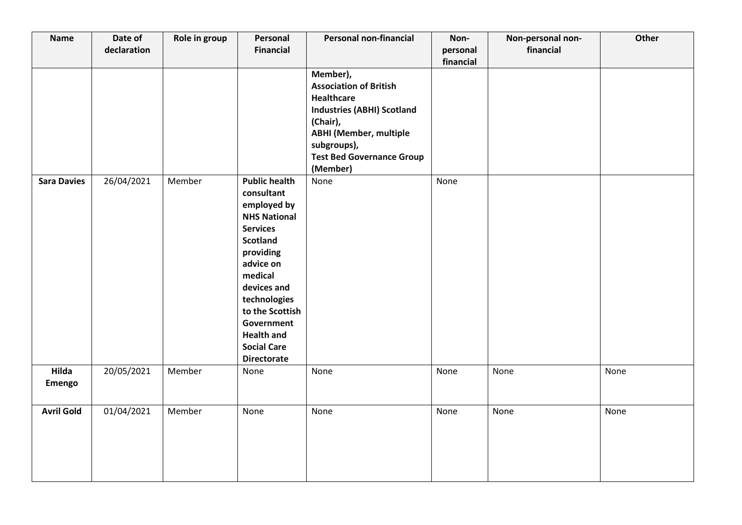| Name               | Date of<br>declaration | Role in group | Personal<br><b>Financial</b>                                                                                                                                                                                                                                                         | <b>Personal non-financial</b>                                                                                                                                                                                   | Non-<br>personal<br>financial | Non-personal non-<br>financial | Other |
|--------------------|------------------------|---------------|--------------------------------------------------------------------------------------------------------------------------------------------------------------------------------------------------------------------------------------------------------------------------------------|-----------------------------------------------------------------------------------------------------------------------------------------------------------------------------------------------------------------|-------------------------------|--------------------------------|-------|
|                    |                        |               |                                                                                                                                                                                                                                                                                      | Member),<br><b>Association of British</b><br><b>Healthcare</b><br><b>Industries (ABHI) Scotland</b><br>(Chair),<br><b>ABHI (Member, multiple</b><br>subgroups),<br><b>Test Bed Governance Group</b><br>(Member) |                               |                                |       |
| <b>Sara Davies</b> | 26/04/2021             | Member        | <b>Public health</b><br>consultant<br>employed by<br><b>NHS National</b><br><b>Services</b><br><b>Scotland</b><br>providing<br>advice on<br>medical<br>devices and<br>technologies<br>to the Scottish<br>Government<br><b>Health and</b><br><b>Social Care</b><br><b>Directorate</b> | None                                                                                                                                                                                                            | None                          |                                |       |
| Hilda<br>Emengo    | 20/05/2021             | Member        | None                                                                                                                                                                                                                                                                                 | None                                                                                                                                                                                                            | None                          | None                           | None  |
| <b>Avril Gold</b>  | 01/04/2021             | Member        | None                                                                                                                                                                                                                                                                                 | None                                                                                                                                                                                                            | None                          | None                           | None  |